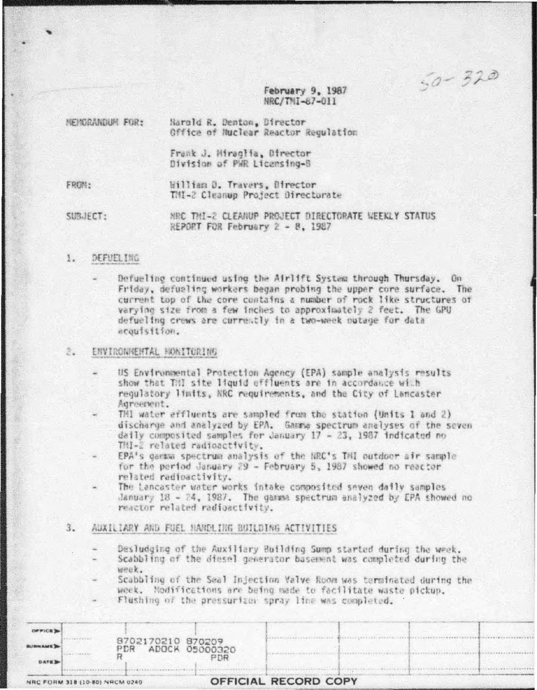$50 - 320$ 

February 9, 1987 NRC/TMI-87-011

| MEMORANDUM FOR: | Harold R. Denton, Director<br>Office of Nuclear Reactor Regulation |
|-----------------|--------------------------------------------------------------------|
|                 | Frank J. Hirachia, Birector<br>Division of PWR Licensing-B         |
| FROM:           | William D. Travers, Director<br>TMI-2 Cleanup Project Directorate  |
|                 |                                                                    |

MRC TMI-2 CLEANUP PROJECT DIRECTORATE WEEKLY STATUS SUBJECT: REPORT FOR February 2 - 8, 1987

## 1. DEFUELING

Defueling continued using the Airlift System through Thursday. On Friday, defusiing workers began probing the upper core surface. The current top of the core contains a number of rock like structures of varying size from a few inches to approximately 2 feet. The GPU defueling crews are currently in a two-week outage for data acquisition.

#### $2.1$ ENVIRONMENTAL MONITORING

- US Environmental Protection Agency (EPA) sample analysis results show that THI site liquid effluents are in accordance with requlatory limits, NRC requirements, and the City of Lancaster Agreement.
	- THI water effluents are sampled from the station (Units 1 and 2) discharge and analyzed by EPA. Gamma spectrum analyses of the seven daily composited samples for January 17 - 23, 1987 indicated no THI-2 related radioactivity.
	- EPA's garma spectrum analysis of the NRC's TAI outdoor air sample for the period January 29 - February 5, 1987 showed no reactor related radioactivity.
- The Lancaster water works intake composited seven daily samples January 18 - 24, 1987. The gamma spectrum analyzed by EPA showed no reactor related radioactivity.

#### 3. AUXILIARY AND FUEL HANDLING BUILDING ACTIVITIES

- Desludging of the Auxiliary Building Sump started during the week. Scabbling of the diesel generator basement was completed during the Week.
- Scabbling of the Seal Injection Malve Room was terminated during the week. Nodifications are being made to facilitate waste pickup. Flushing of the pressurizer spray line was completed.

|               | NRC FORM 318 (10-80) NRCM 0240 |                          |                | OFFICIAL RECORD COPY |  |  |
|---------------|--------------------------------|--------------------------|----------------|----------------------|--|--|
| <b>DAYER</b>  |                                |                          |                |                      |  |  |
|               |                                | 9702170210 970209<br>PDR | ADOCK 05000320 |                      |  |  |
| <b>OFFICE</b> |                                |                          |                |                      |  |  |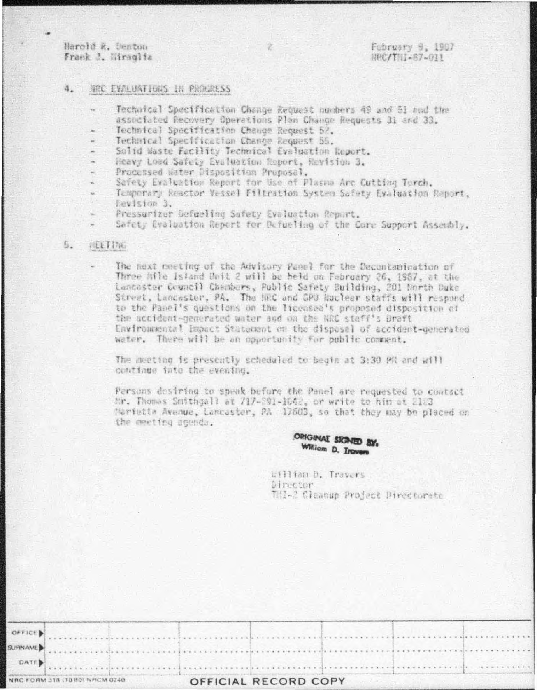Harold R. Denton Frank J. Miraglia

### NRC EVALUATIONS IN PROCRESS  $4.$

- Technical Specification Change Request numbers 49 and 51 and the associated Recovery Operations Plan Change Requests 31 and 33.
- Technical Specification Change Request 52.
- Technical Specification Change Request 55.
- Solid Waste Facility Technical Evaluation Report.
- Heavy Load Safety Evaluation Report, Revision 3.
- Processed Water Disposition Proposal.
- Sefety Evaluation Report for Use of Plasma Arc Cutting Torch.
- Temporary Reactor Vessel Filtration System Safety Evaluation Report, Revision 3.
- Pressurizer Defueling Safety Evaluation Report.
- Safety Evaluation Report for Defueling of the Core Support Assembly.

#### 5. TEETIM

The next meeting of the Advisory Panel for the Decontamination of Three Mile Island Unit 2 will be held on February 26, 1987, at the Lancaster Council Chambers, Public Safety Building, 201 North Duke Street, Lancaster, PA. The NRC and GPU Huclear staffs will respond to the Panel's questions on the licensee's proposed disposition of the accident-generated water and on the NRC staff's Draft Environmental Impact Statement on the disposal of accident-generated water. There will be an opportunity for public comment.

The meeting is presently scheduled to begin at 3:30 PH and will continue into the evening.

Persons dosiring to speak before the Panel are requested to contact Mr. Thomas Smithgall at 717-291-1042, or write to him at 2123 Narietta Avenue, Lancaster, PA 17603, so that they may be placed on the meeting agenda.

# ORIGINAL SIGNED BY: William D. Irovers

William D. Travers Director. Til-2 Gleanup Project Directorate

|                | NRC FORM 318 (10 80) NRCM 0240 |  | OFFICIAL RECORD COPY |  |  |  |  |  |  |  |
|----------------|--------------------------------|--|----------------------|--|--|--|--|--|--|--|
| DATE           |                                |  |                      |  |  |  |  |  |  |  |
| <b>SURNAME</b> |                                |  |                      |  |  |  |  |  |  |  |
| OFFICE         |                                |  |                      |  |  |  |  |  |  |  |